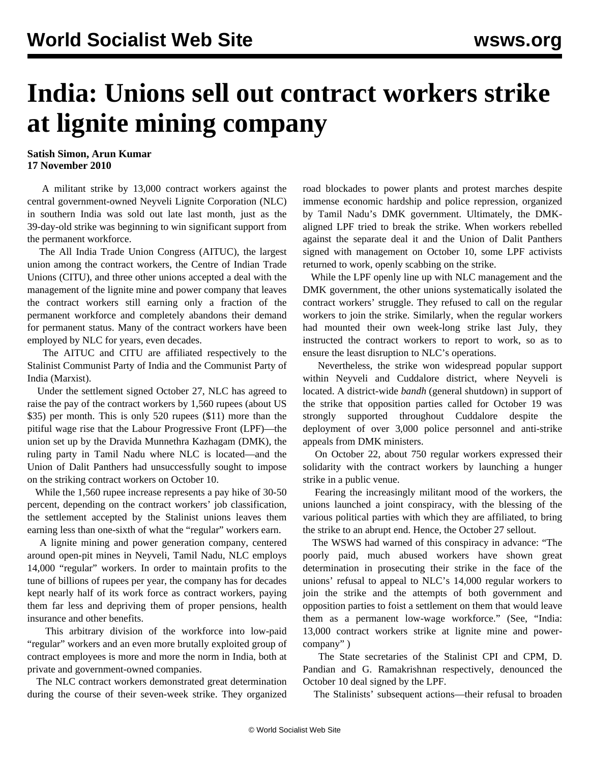## **India: Unions sell out contract workers strike at lignite mining company**

## **Satish Simon, Arun Kumar 17 November 2010**

 A militant strike by 13,000 contract workers against the central government-owned Neyveli Lignite Corporation (NLC) in southern India was sold out late last month, just as the 39-day-old strike was beginning to win significant support from the permanent workforce.

 The All India Trade Union Congress (AITUC), the largest union among the contract workers, the Centre of Indian Trade Unions (CITU), and three other unions accepted a deal with the management of the lignite mine and power company that leaves the contract workers still earning only a fraction of the permanent workforce and completely abandons their demand for permanent status. Many of the contract workers have been employed by NLC for years, even decades.

 The AITUC and CITU are affiliated respectively to the Stalinist Communist Party of India and the Communist Party of India (Marxist).

 Under the settlement signed October 27, NLC has agreed to raise the pay of the contract workers by 1,560 rupees (about US \$35) per month. This is only 520 rupees (\$11) more than the pitiful wage rise that the Labour Progressive Front (LPF)—the union set up by the Dravida Munnethra Kazhagam (DMK), the ruling party in Tamil Nadu where NLC is located—and the Union of Dalit Panthers had unsuccessfully sought to impose on the striking contract workers on October 10.

 While the 1,560 rupee increase represents a pay hike of 30-50 percent, depending on the contract workers' job classification, the settlement accepted by the Stalinist unions leaves them earning less than one-sixth of what the "regular" workers earn.

 A lignite mining and power generation company, centered around open-pit mines in Neyveli, Tamil Nadu, NLC employs 14,000 "regular" workers. In order to maintain profits to the tune of billions of rupees per year, the company has for decades kept nearly half of its work force as contract workers, paying them far less and depriving them of proper pensions, health insurance and other benefits.

 This arbitrary division of the workforce into low-paid "regular" workers and an even more brutally exploited group of contract employees is more and more the norm in India, both at private and government-owned companies.

 The NLC contract workers demonstrated great determination during the course of their seven-week strike. They organized road blockades to power plants and protest marches despite immense economic hardship and police repression, organized by Tamil Nadu's DMK government. Ultimately, the DMKaligned LPF tried to break the strike. When workers rebelled against the separate deal it and the Union of Dalit Panthers signed with management on October 10, some LPF activists returned to work, openly scabbing on the strike.

 While the LPF openly line up with NLC management and the DMK government, the other unions systematically isolated the contract workers' struggle. They refused to call on the regular workers to join the strike. Similarly, when the regular workers had mounted their own week-long strike last July, they instructed the contract workers to report to work, so as to ensure the least disruption to NLC's operations.

 Nevertheless, the strike won widespread popular support within Neyveli and Cuddalore district, where Neyveli is located. A district-wide *bandh* (general shutdown) in support of the strike that opposition parties called for October 19 was strongly supported throughout Cuddalore despite the deployment of over 3,000 police personnel and anti-strike appeals from DMK ministers.

 On October 22, about 750 regular workers expressed their solidarity with the contract workers by launching a hunger strike in a public venue.

 Fearing the increasingly militant mood of the workers, the unions launched a joint conspiracy, with the blessing of the various political parties with which they are affiliated, to bring the strike to an abrupt end. Hence, the October 27 sellout.

 The WSWS had warned of this conspiracy in advance: "The poorly paid, much abused workers have shown great determination in prosecuting their strike in the face of the unions' refusal to appeal to NLC's 14,000 regular workers to join the strike and the attempts of both government and opposition parties to foist a settlement on them that would leave them as a permanent low-wage workforce." (See, ["India:](/en/articles/2010/oct2010/indi-o23.shtml) [13,000 contract workers strike at lignite mine and power](/en/articles/2010/oct2010/indi-o23.shtml)[company"](/en/articles/2010/oct2010/indi-o23.shtml) )

 The State secretaries of the Stalinist CPI and CPM, D. Pandian and G. Ramakrishnan respectively, denounced the October 10 deal signed by the LPF.

The Stalinists' subsequent actions—their refusal to broaden